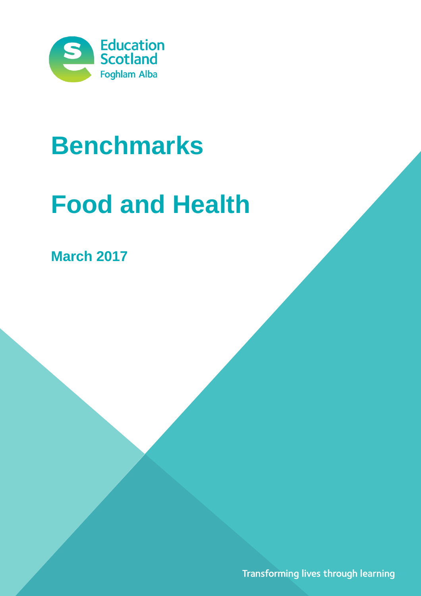

## **Benchmarks**

# **Food and Health**

**March 2017**

Transforming lives through learning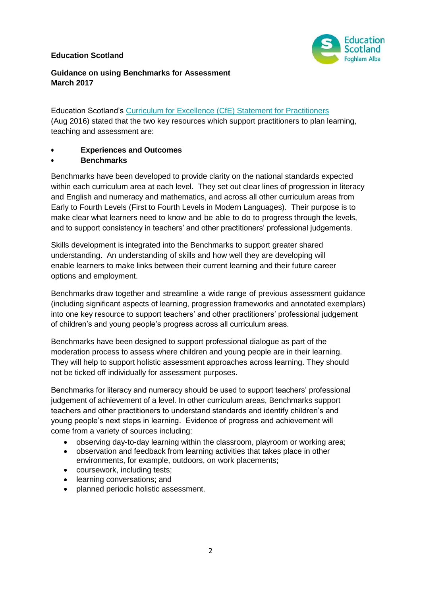#### **Education Scotland**



#### **Guidance on using Benchmarks for Assessment March 2017**

Education Scotland's [Curriculum for Excellence \(CfE\) Statement for Practitioners](https://education.gov.scot/improvement/Documents/cfestatement.pdf) (Aug 2016) stated that the two key resources which support practitioners to plan learning, teaching and assessment are:

#### **Experiences and Outcomes**

**Benchmarks**

Benchmarks have been developed to provide clarity on the national standards expected within each curriculum area at each level. They set out clear lines of progression in literacy and English and numeracy and mathematics, and across all other curriculum areas from Early to Fourth Levels (First to Fourth Levels in Modern Languages). Their purpose is to make clear what learners need to know and be able to do to progress through the levels, and to support consistency in teachers' and other practitioners' professional judgements.

Skills development is integrated into the Benchmarks to support greater shared understanding. An understanding of skills and how well they are developing will enable learners to make links between their current learning and their future career options and employment.

Benchmarks draw together and streamline a wide range of previous assessment guidance (including significant aspects of learning, progression frameworks and annotated exemplars) into one key resource to support teachers' and other practitioners' professional judgement of children's and young people's progress across all curriculum areas.

Benchmarks have been designed to support professional dialogue as part of the moderation process to assess where children and young people are in their learning. They will help to support holistic assessment approaches across learning. They should not be ticked off individually for assessment purposes.

Benchmarks for literacy and numeracy should be used to support teachers' professional judgement of achievement of a level. In other curriculum areas, Benchmarks support teachers and other practitioners to understand standards and identify children's and young people's next steps in learning. Evidence of progress and achievement will come from a variety of sources including:

- observing day-to-day learning within the classroom, playroom or working area;
- observation and feedback from learning activities that takes place in other environments, for example, outdoors, on work placements;
- coursework, including tests;
- learning conversations; and
- planned periodic holistic assessment.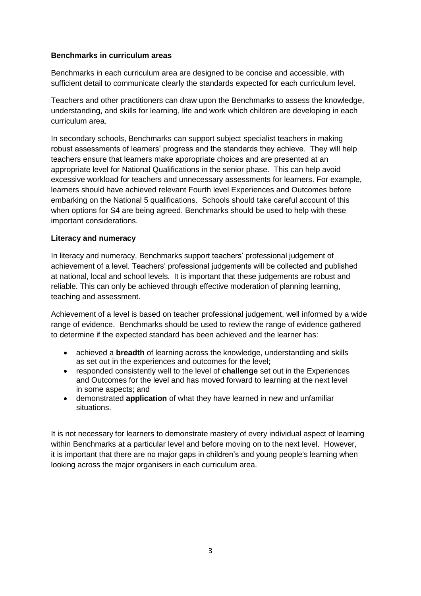#### **Benchmarks in curriculum areas**

Benchmarks in each curriculum area are designed to be concise and accessible, with sufficient detail to communicate clearly the standards expected for each curriculum level.

Teachers and other practitioners can draw upon the Benchmarks to assess the knowledge, understanding, and skills for learning, life and work which children are developing in each curriculum area.

In secondary schools, Benchmarks can support subject specialist teachers in making robust assessments of learners' progress and the standards they achieve. They will help teachers ensure that learners make appropriate choices and are presented at an appropriate level for National Qualifications in the senior phase. This can help avoid excessive workload for teachers and unnecessary assessments for learners. For example, learners should have achieved relevant Fourth level Experiences and Outcomes before embarking on the National 5 qualifications. Schools should take careful account of this when options for S4 are being agreed. Benchmarks should be used to help with these important considerations.

#### **Literacy and numeracy**

In literacy and numeracy, Benchmarks support teachers' professional judgement of achievement of a level. Teachers' professional judgements will be collected and published at national, local and school levels. It is important that these judgements are robust and reliable. This can only be achieved through effective moderation of planning learning, teaching and assessment.

Achievement of a level is based on teacher professional judgement, well informed by a wide range of evidence. Benchmarks should be used to review the range of evidence gathered to determine if the expected standard has been achieved and the learner has:

- achieved a **breadth** of learning across the knowledge, understanding and skills as set out in the experiences and outcomes for the level;
- responded consistently well to the level of **challenge** set out in the Experiences and Outcomes for the level and has moved forward to learning at the next level in some aspects; and
- demonstrated **application** of what they have learned in new and unfamiliar situations.

It is not necessary for learners to demonstrate mastery of every individual aspect of learning within Benchmarks at a particular level and before moving on to the next level. However, it is important that there are no major gaps in children's and young people's learning when looking across the major organisers in each curriculum area.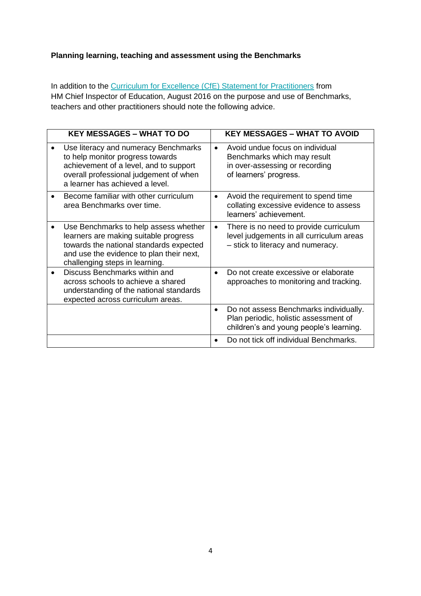## **Planning learning, teaching and assessment using the Benchmarks**

In addition to the [Curriculum for Excellence \(CfE\) Statement for Practitioners](https://education.gov.scot/improvement/Documents/cfestatement.pdf) from HM Chief Inspector of Education, August 2016 on the purpose and use of Benchmarks, teachers and other practitioners should note the following advice.

| <b>KEY MESSAGES - WHAT TO DO</b>                                                                                                                                                                        |           | <b>KEY MESSAGES - WHAT TO AVOID</b>                                                                                        |
|---------------------------------------------------------------------------------------------------------------------------------------------------------------------------------------------------------|-----------|----------------------------------------------------------------------------------------------------------------------------|
| Use literacy and numeracy Benchmarks<br>to help monitor progress towards<br>achievement of a level, and to support<br>overall professional judgement of when<br>a learner has achieved a level.         | $\bullet$ | Avoid undue focus on individual<br>Benchmarks which may result<br>in over-assessing or recording<br>of learners' progress. |
| Become familiar with other curriculum<br>area Benchmarks over time.                                                                                                                                     | $\bullet$ | Avoid the requirement to spend time<br>collating excessive evidence to assess<br>learners' achievement.                    |
| Use Benchmarks to help assess whether<br>learners are making suitable progress<br>towards the national standards expected<br>and use the evidence to plan their next,<br>challenging steps in learning. | $\bullet$ | There is no need to provide curriculum<br>level judgements in all curriculum areas<br>- stick to literacy and numeracy.    |
| Discuss Benchmarks within and<br>across schools to achieve a shared<br>understanding of the national standards<br>expected across curriculum areas.                                                     | $\bullet$ | Do not create excessive or elaborate<br>approaches to monitoring and tracking.                                             |
|                                                                                                                                                                                                         | $\bullet$ | Do not assess Benchmarks individually.<br>Plan periodic, holistic assessment of<br>children's and young people's learning. |
|                                                                                                                                                                                                         | $\bullet$ | Do not tick off individual Benchmarks.                                                                                     |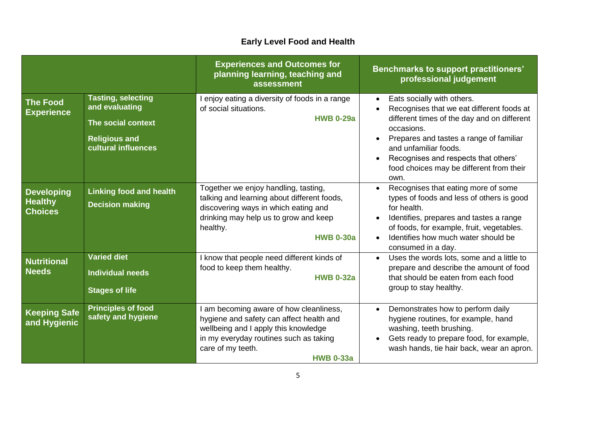## **Early Level Food and Health**

|                                                       |                                                                                                                  | <b>Experiences and Outcomes for</b><br>planning learning, teaching and<br>assessment                                                                                                                           | <b>Benchmarks to support practitioners'</b><br>professional judgement                                                                                                                                                                                                                                                          |
|-------------------------------------------------------|------------------------------------------------------------------------------------------------------------------|----------------------------------------------------------------------------------------------------------------------------------------------------------------------------------------------------------------|--------------------------------------------------------------------------------------------------------------------------------------------------------------------------------------------------------------------------------------------------------------------------------------------------------------------------------|
| <b>The Food</b><br><b>Experience</b>                  | <b>Tasting, selecting</b><br>and evaluating<br>The social context<br><b>Religious and</b><br>cultural influences | I enjoy eating a diversity of foods in a range<br>of social situations.<br><b>HWB 0-29a</b>                                                                                                                    | Eats socially with others.<br>$\bullet$<br>Recognises that we eat different foods at<br>different times of the day and on different<br>occasions.<br>Prepares and tastes a range of familiar<br>$\bullet$<br>and unfamiliar foods.<br>Recognises and respects that others'<br>food choices may be different from their<br>own. |
| <b>Developing</b><br><b>Healthy</b><br><b>Choices</b> | <b>Linking food and health</b><br><b>Decision making</b>                                                         | Together we enjoy handling, tasting,<br>talking and learning about different foods,<br>discovering ways in which eating and<br>drinking may help us to grow and keep<br>healthy.<br><b>HWB 0-30a</b>           | Recognises that eating more of some<br>$\bullet$<br>types of foods and less of others is good<br>for health.<br>Identifies, prepares and tastes a range<br>of foods, for example, fruit, vegetables.<br>Identifies how much water should be<br>$\bullet$<br>consumed in a day.                                                 |
| <b>Nutritional</b><br><b>Needs</b>                    | <b>Varied diet</b><br><b>Individual needs</b><br><b>Stages of life</b>                                           | I know that people need different kinds of<br>food to keep them healthy.<br><b>HWB 0-32a</b>                                                                                                                   | Uses the words lots, some and a little to<br>prepare and describe the amount of food<br>that should be eaten from each food<br>group to stay healthy.                                                                                                                                                                          |
| <b>Keeping Safe</b><br>and Hygienic                   | <b>Principles of food</b><br>safety and hygiene                                                                  | I am becoming aware of how cleanliness,<br>hygiene and safety can affect health and<br>wellbeing and I apply this knowledge<br>in my everyday routines such as taking<br>care of my teeth.<br><b>HWB 0-33a</b> | Demonstrates how to perform daily<br>$\bullet$<br>hygiene routines, for example, hand<br>washing, teeth brushing.<br>Gets ready to prepare food, for example,<br>wash hands, tie hair back, wear an apron.                                                                                                                     |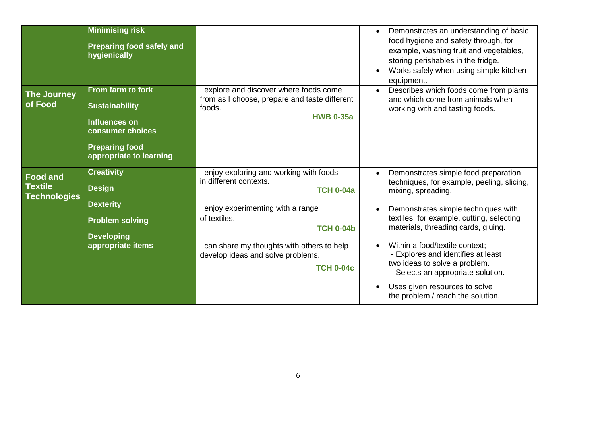|                                                          | <b>Minimising risk</b><br><b>Preparing food safely and</b><br>hygienically                                                                 |                                                                                                                                                                                                                                                                    | Demonstrates an understanding of basic<br>food hygiene and safety through, for<br>example, washing fruit and vegetables,<br>storing perishables in the fridge.<br>Works safely when using simple kitchen<br>equipment.                                                                                                                                                                                                                                                |
|----------------------------------------------------------|--------------------------------------------------------------------------------------------------------------------------------------------|--------------------------------------------------------------------------------------------------------------------------------------------------------------------------------------------------------------------------------------------------------------------|-----------------------------------------------------------------------------------------------------------------------------------------------------------------------------------------------------------------------------------------------------------------------------------------------------------------------------------------------------------------------------------------------------------------------------------------------------------------------|
| <b>The Journey</b><br>of Food                            | From farm to fork<br><b>Sustainability</b><br><b>Influences on</b><br>consumer choices<br><b>Preparing food</b><br>appropriate to learning | explore and discover where foods come<br>from as I choose, prepare and taste different<br>foods.<br><b>HWB 0-35a</b>                                                                                                                                               | Describes which foods come from plants<br>and which come from animals when<br>working with and tasting foods.                                                                                                                                                                                                                                                                                                                                                         |
| <b>Food and</b><br><b>Textile</b><br><b>Technologies</b> | <b>Creativity</b><br><b>Design</b><br><b>Dexterity</b><br><b>Problem solving</b><br><b>Developing</b><br>appropriate items                 | enjoy exploring and working with foods<br>in different contexts.<br><b>TCH 0-04a</b><br>enjoy experimenting with a range<br>of textiles.<br><b>TCH 0-04b</b><br>can share my thoughts with others to help<br>develop ideas and solve problems.<br><b>TCH 0-04c</b> | Demonstrates simple food preparation<br>$\bullet$<br>techniques, for example, peeling, slicing,<br>mixing, spreading.<br>Demonstrates simple techniques with<br>textiles, for example, cutting, selecting<br>materials, threading cards, gluing.<br>Within a food/textile context;<br>- Explores and identifies at least<br>two ideas to solve a problem.<br>- Selects an appropriate solution.<br>Uses given resources to solve<br>the problem / reach the solution. |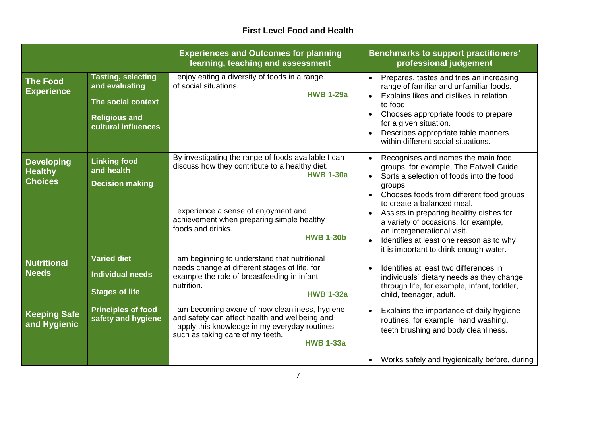## **First Level Food and Health**

|                                                       |                                                                                                                  | <b>Experiences and Outcomes for planning</b><br>learning, teaching and assessment                                                                                                                                                                        | <b>Benchmarks to support practitioners'</b><br>professional judgement                                                                                                                                                                                                                                                                                                                                                                                         |
|-------------------------------------------------------|------------------------------------------------------------------------------------------------------------------|----------------------------------------------------------------------------------------------------------------------------------------------------------------------------------------------------------------------------------------------------------|---------------------------------------------------------------------------------------------------------------------------------------------------------------------------------------------------------------------------------------------------------------------------------------------------------------------------------------------------------------------------------------------------------------------------------------------------------------|
| <b>The Food</b><br><b>Experience</b>                  | <b>Tasting, selecting</b><br>and evaluating<br>The social context<br><b>Religious and</b><br>cultural influences | enjoy eating a diversity of foods in a range<br>of social situations.<br><b>HWB 1-29a</b>                                                                                                                                                                | Prepares, tastes and tries an increasing<br>$\bullet$<br>range of familiar and unfamiliar foods.<br>Explains likes and dislikes in relation<br>to food.<br>Chooses appropriate foods to prepare<br>$\bullet$<br>for a given situation.<br>Describes appropriate table manners<br>within different social situations.                                                                                                                                          |
| <b>Developing</b><br><b>Healthy</b><br><b>Choices</b> | <b>Linking food</b><br>and health<br><b>Decision making</b>                                                      | By investigating the range of foods available I can<br>discuss how they contribute to a healthy diet.<br><b>HWB 1-30a</b><br>I experience a sense of enjoyment and<br>achievement when preparing simple healthy<br>foods and drinks.<br><b>HWB 1-30b</b> | Recognises and names the main food<br>$\bullet$<br>groups, for example, The Eatwell Guide.<br>Sorts a selection of foods into the food<br>groups.<br>Chooses foods from different food groups<br>to create a balanced meal.<br>Assists in preparing healthy dishes for<br>$\bullet$<br>a variety of occasions, for example,<br>an intergenerational visit.<br>Identifies at least one reason as to why<br>$\bullet$<br>it is important to drink enough water. |
| <b>Nutritional</b><br><b>Needs</b>                    | <b>Varied diet</b><br><b>Individual needs</b><br><b>Stages of life</b>                                           | I am beginning to understand that nutritional<br>needs change at different stages of life, for<br>example the role of breastfeeding in infant<br>nutrition.<br><b>HWB 1-32a</b>                                                                          | Identifies at least two differences in<br>individuals' dietary needs as they change<br>through life, for example, infant, toddler,<br>child, teenager, adult.                                                                                                                                                                                                                                                                                                 |
| <b>Keeping Safe</b><br>and Hygienic                   | <b>Principles of food</b><br>safety and hygiene                                                                  | am becoming aware of how cleanliness, hygiene<br>and safety can affect health and wellbeing and<br>I apply this knowledge in my everyday routines<br>such as taking care of my teeth.<br><b>HWB 1-33a</b>                                                | Explains the importance of daily hygiene<br>$\bullet$<br>routines, for example, hand washing,<br>teeth brushing and body cleanliness.<br>Works safely and hygienically before, during<br>$\bullet$                                                                                                                                                                                                                                                            |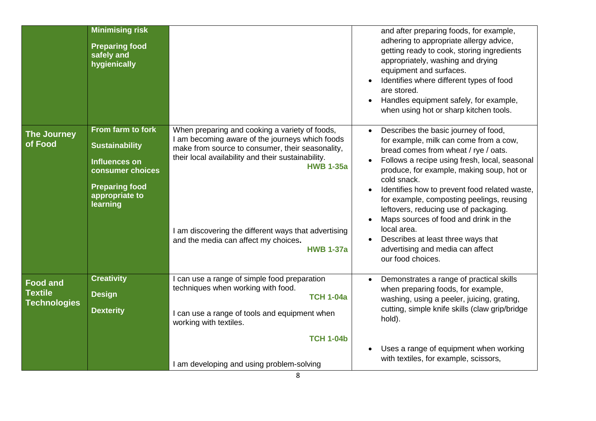|                                                          | <b>Minimising risk</b><br><b>Preparing food</b><br>safely and<br>hygienically                                                                 |                                                                                                                                                                                                                                                                                                                                                     | and after preparing foods, for example,<br>adhering to appropriate allergy advice,<br>getting ready to cook, storing ingredients<br>appropriately, washing and drying<br>equipment and surfaces.<br>Identifies where different types of food<br>are stored.<br>Handles equipment safely, for example,<br>when using hot or sharp kitchen tools.                                                                                                                                                                                                             |
|----------------------------------------------------------|-----------------------------------------------------------------------------------------------------------------------------------------------|-----------------------------------------------------------------------------------------------------------------------------------------------------------------------------------------------------------------------------------------------------------------------------------------------------------------------------------------------------|-------------------------------------------------------------------------------------------------------------------------------------------------------------------------------------------------------------------------------------------------------------------------------------------------------------------------------------------------------------------------------------------------------------------------------------------------------------------------------------------------------------------------------------------------------------|
| <b>The Journey</b><br>of Food                            | From farm to fork<br><b>Sustainability</b><br><b>Influences on</b><br>consumer choices<br><b>Preparing food</b><br>appropriate to<br>learning | When preparing and cooking a variety of foods,<br>I am becoming aware of the journeys which foods<br>make from source to consumer, their seasonality,<br>their local availability and their sustainability.<br><b>HWB 1-35a</b><br>I am discovering the different ways that advertising<br>and the media can affect my choices.<br><b>HWB 1-37a</b> | Describes the basic journey of food,<br>$\bullet$<br>for example, milk can come from a cow,<br>bread comes from wheat / rye / oats.<br>Follows a recipe using fresh, local, seasonal<br>$\bullet$<br>produce, for example, making soup, hot or<br>cold snack.<br>Identifies how to prevent food related waste,<br>for example, composting peelings, reusing<br>leftovers, reducing use of packaging.<br>Maps sources of food and drink in the<br>local area.<br>Describes at least three ways that<br>advertising and media can affect<br>our food choices. |
| <b>Food and</b><br><b>Textile</b><br><b>Technologies</b> | <b>Creativity</b><br><b>Design</b><br><b>Dexterity</b>                                                                                        | I can use a range of simple food preparation<br>techniques when working with food.<br><b>TCH 1-04a</b><br>I can use a range of tools and equipment when<br>working with textiles.<br><b>TCH 1-04b</b><br>I am developing and using problem-solving                                                                                                  | Demonstrates a range of practical skills<br>$\bullet$<br>when preparing foods, for example,<br>washing, using a peeler, juicing, grating,<br>cutting, simple knife skills (claw grip/bridge<br>hold).<br>Uses a range of equipment when working<br>with textiles, for example, scissors,                                                                                                                                                                                                                                                                    |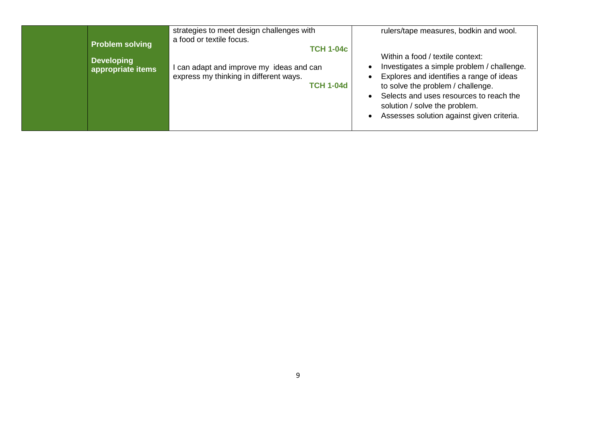| <b>Problem solving</b><br><b>Developing</b><br>appropriate items | strategies to meet design challenges with<br>a food or textile focus.<br><b>TCH 1-04c</b><br>can adapt and improve my ideas and can<br>express my thinking in different ways.<br><b>TCH 1-04d</b> | rulers/tape measures, bodkin and wool.<br>Within a food / textile context:<br>Investigates a simple problem / challenge.<br>Explores and identifies a range of ideas<br>to solve the problem / challenge.<br>Selects and uses resources to reach the<br>solution / solve the problem.<br>Assesses solution against given criteria. |
|------------------------------------------------------------------|---------------------------------------------------------------------------------------------------------------------------------------------------------------------------------------------------|------------------------------------------------------------------------------------------------------------------------------------------------------------------------------------------------------------------------------------------------------------------------------------------------------------------------------------|
|------------------------------------------------------------------|---------------------------------------------------------------------------------------------------------------------------------------------------------------------------------------------------|------------------------------------------------------------------------------------------------------------------------------------------------------------------------------------------------------------------------------------------------------------------------------------------------------------------------------------|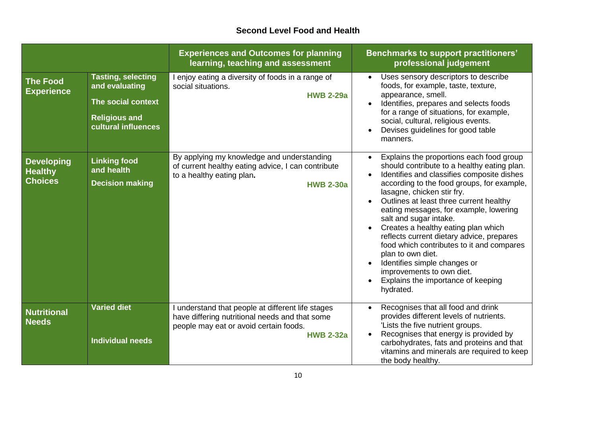#### **Second Level Food and Health**

|                                                       |                                                                                                                  | <b>Experiences and Outcomes for planning</b><br>learning, teaching and assessment                                                                               | <b>Benchmarks to support practitioners'</b><br>professional judgement                                                                                                                                                                                                                                                                                                                                                                                                                                                                                                                                               |
|-------------------------------------------------------|------------------------------------------------------------------------------------------------------------------|-----------------------------------------------------------------------------------------------------------------------------------------------------------------|---------------------------------------------------------------------------------------------------------------------------------------------------------------------------------------------------------------------------------------------------------------------------------------------------------------------------------------------------------------------------------------------------------------------------------------------------------------------------------------------------------------------------------------------------------------------------------------------------------------------|
| <b>The Food</b><br><b>Experience</b>                  | <b>Tasting, selecting</b><br>and evaluating<br>The social context<br><b>Religious and</b><br>cultural influences | enjoy eating a diversity of foods in a range of<br>social situations.<br><b>HWB 2-29a</b>                                                                       | Uses sensory descriptors to describe<br>$\bullet$<br>foods, for example, taste, texture,<br>appearance, smell.<br>Identifies, prepares and selects foods<br>for a range of situations, for example,<br>social, cultural, religious events.<br>Devises guidelines for good table<br>manners.                                                                                                                                                                                                                                                                                                                         |
| <b>Developing</b><br><b>Healthy</b><br><b>Choices</b> | <b>Linking food</b><br>and health<br><b>Decision making</b>                                                      | By applying my knowledge and understanding<br>of current healthy eating advice, I can contribute<br>to a healthy eating plan.<br><b>HWB 2-30a</b>               | Explains the proportions each food group<br>$\bullet$<br>should contribute to a healthy eating plan.<br>Identifies and classifies composite dishes<br>according to the food groups, for example,<br>lasagne, chicken stir fry.<br>Outlines at least three current healthy<br>eating messages, for example, lowering<br>salt and sugar intake.<br>Creates a healthy eating plan which<br>reflects current dietary advice, prepares<br>food which contributes to it and compares<br>plan to own diet.<br>Identifies simple changes or<br>improvements to own diet.<br>Explains the importance of keeping<br>hydrated. |
| <b>Nutritional</b><br><b>Needs</b>                    | <b>Varied diet</b><br><b>Individual needs</b>                                                                    | understand that people at different life stages<br>have differing nutritional needs and that some<br>people may eat or avoid certain foods.<br><b>HWB 2-32a</b> | Recognises that all food and drink<br>$\bullet$<br>provides different levels of nutrients.<br>'Lists the five nutrient groups.<br>Recognises that energy is provided by<br>$\bullet$<br>carbohydrates, fats and proteins and that<br>vitamins and minerals are required to keep<br>the body healthy.                                                                                                                                                                                                                                                                                                                |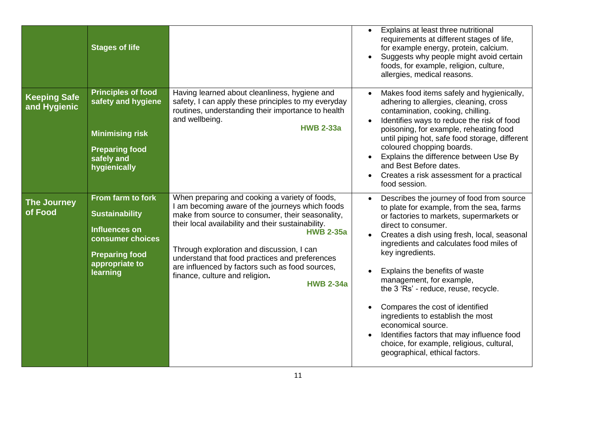|                                     | <b>Stages of life</b>                                                                                                                         |                                                                                                                                                                                                                                                                                                                                                                                                                                         | Explains at least three nutritional<br>$\bullet$<br>requirements at different stages of life,<br>for example energy, protein, calcium.<br>Suggests why people might avoid certain<br>foods, for example, religion, culture,<br>allergies, medical reasons.                                                                                                                                                                                                                                                                                                                                                |
|-------------------------------------|-----------------------------------------------------------------------------------------------------------------------------------------------|-----------------------------------------------------------------------------------------------------------------------------------------------------------------------------------------------------------------------------------------------------------------------------------------------------------------------------------------------------------------------------------------------------------------------------------------|-----------------------------------------------------------------------------------------------------------------------------------------------------------------------------------------------------------------------------------------------------------------------------------------------------------------------------------------------------------------------------------------------------------------------------------------------------------------------------------------------------------------------------------------------------------------------------------------------------------|
| <b>Keeping Safe</b><br>and Hygienic | <b>Principles of food</b><br>safety and hygiene<br><b>Minimising risk</b><br><b>Preparing food</b><br>safely and<br>hygienically              | Having learned about cleanliness, hygiene and<br>safety, I can apply these principles to my everyday<br>routines, understanding their importance to health<br>and wellbeing.<br><b>HWB 2-33a</b>                                                                                                                                                                                                                                        | Makes food items safely and hygienically,<br>adhering to allergies, cleaning, cross<br>contamination, cooking, chilling.<br>Identifies ways to reduce the risk of food<br>poisoning, for example, reheating food<br>until piping hot, safe food storage, different<br>coloured chopping boards.<br>Explains the difference between Use By<br>and Best Before dates.<br>Creates a risk assessment for a practical<br>food session.                                                                                                                                                                         |
| <b>The Journey</b><br>of Food       | From farm to fork<br><b>Sustainability</b><br><b>Influences on</b><br>consumer choices<br><b>Preparing food</b><br>appropriate to<br>learning | When preparing and cooking a variety of foods,<br>I am becoming aware of the journeys which foods<br>make from source to consumer, their seasonality,<br>their local availability and their sustainability.<br><b>HWB 2-35a</b><br>Through exploration and discussion, I can<br>understand that food practices and preferences<br>are influenced by factors such as food sources,<br>finance, culture and religion.<br><b>HWB 2-34a</b> | Describes the journey of food from source<br>to plate for example, from the sea, farms<br>or factories to markets, supermarkets or<br>direct to consumer.<br>Creates a dish using fresh, local, seasonal<br>ingredients and calculates food miles of<br>key ingredients.<br>Explains the benefits of waste<br>management, for example,<br>the 3 'Rs' - reduce, reuse, recycle.<br>Compares the cost of identified<br>ingredients to establish the most<br>economical source.<br>Identifies factors that may influence food<br>choice, for example, religious, cultural,<br>geographical, ethical factors. |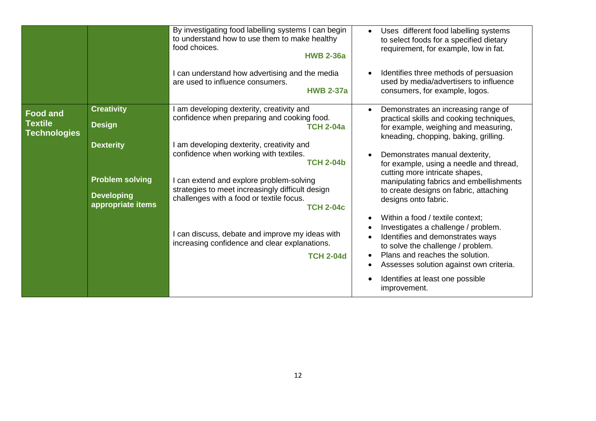|                                                          |                                                                                                                            | By investigating food labelling systems I can begin<br>to understand how to use them to make healthy<br>food choices.<br><b>HWB 2-36a</b><br>I can understand how advertising and the media<br>are used to influence consumers.<br><b>HWB 2-37a</b>                                                                                                                                                                                                                                                     | Uses different food labelling systems<br>to select foods for a specified dietary<br>requirement, for example, low in fat.<br>Identifies three methods of persuasion<br>used by media/advertisers to influence<br>consumers, for example, logos.                                                                                                                                                                                                                                                                                                                                                                                                                                                 |
|----------------------------------------------------------|----------------------------------------------------------------------------------------------------------------------------|---------------------------------------------------------------------------------------------------------------------------------------------------------------------------------------------------------------------------------------------------------------------------------------------------------------------------------------------------------------------------------------------------------------------------------------------------------------------------------------------------------|-------------------------------------------------------------------------------------------------------------------------------------------------------------------------------------------------------------------------------------------------------------------------------------------------------------------------------------------------------------------------------------------------------------------------------------------------------------------------------------------------------------------------------------------------------------------------------------------------------------------------------------------------------------------------------------------------|
| <b>Food and</b><br><b>Textile</b><br><b>Technologies</b> | <b>Creativity</b><br><b>Design</b><br><b>Dexterity</b><br><b>Problem solving</b><br><b>Developing</b><br>appropriate items | am developing dexterity, creativity and<br>confidence when preparing and cooking food.<br><b>TCH 2-04a</b><br>am developing dexterity, creativity and<br>confidence when working with textiles.<br><b>TCH 2-04b</b><br>can extend and explore problem-solving<br>strategies to meet increasingly difficult design<br>challenges with a food or textile focus.<br><b>TCH 2-04c</b><br>can discuss, debate and improve my ideas with<br>increasing confidence and clear explanations.<br><b>TCH 2-04d</b> | Demonstrates an increasing range of<br>practical skills and cooking techniques,<br>for example, weighing and measuring,<br>kneading, chopping, baking, grilling.<br>Demonstrates manual dexterity,<br>for example, using a needle and thread,<br>cutting more intricate shapes,<br>manipulating fabrics and embellishments<br>to create designs on fabric, attaching<br>designs onto fabric.<br>Within a food / textile context:<br>Investigates a challenge / problem.<br>Identifies and demonstrates ways<br>to solve the challenge / problem.<br>Plans and reaches the solution.<br>$\bullet$<br>Assesses solution against own criteria.<br>Identifies at least one possible<br>improvement. |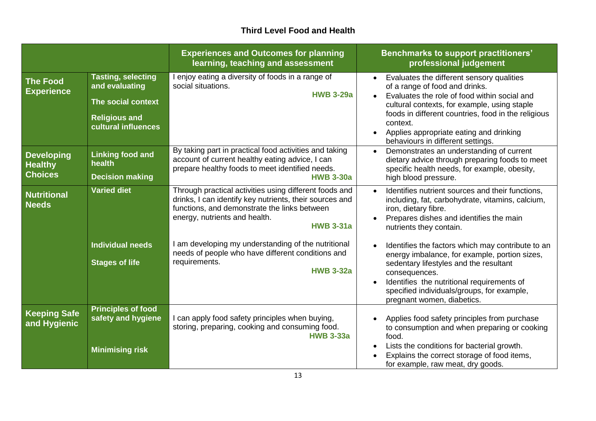### **Third Level Food and Health**

|                                                       |                                                                                                                  | <b>Experiences and Outcomes for planning</b><br>learning, teaching and assessment                                                                                                                                      | <b>Benchmarks to support practitioners'</b><br>professional judgement                                                                                                                                                                                                                                                                       |
|-------------------------------------------------------|------------------------------------------------------------------------------------------------------------------|------------------------------------------------------------------------------------------------------------------------------------------------------------------------------------------------------------------------|---------------------------------------------------------------------------------------------------------------------------------------------------------------------------------------------------------------------------------------------------------------------------------------------------------------------------------------------|
| <b>The Food</b><br><b>Experience</b>                  | <b>Tasting, selecting</b><br>and evaluating<br>The social context<br><b>Religious and</b><br>cultural influences | enjoy eating a diversity of foods in a range of<br>social situations.<br><b>HWB 3-29a</b>                                                                                                                              | Evaluates the different sensory qualities<br>of a range of food and drinks.<br>Evaluates the role of food within social and<br>cultural contexts, for example, using staple<br>foods in different countries, food in the religious<br>context.<br>Applies appropriate eating and drinking<br>$\bullet$<br>behaviours in different settings. |
| <b>Developing</b><br><b>Healthy</b><br><b>Choices</b> | <b>Linking food and</b><br>health<br><b>Decision making</b>                                                      | By taking part in practical food activities and taking<br>account of current healthy eating advice, I can<br>prepare healthy foods to meet identified needs.<br><b>HWB 3-30a</b>                                       | Demonstrates an understanding of current<br>$\bullet$<br>dietary advice through preparing foods to meet<br>specific health needs, for example, obesity,<br>high blood pressure.                                                                                                                                                             |
| <b>Nutritional</b><br><b>Needs</b>                    | <b>Varied diet</b>                                                                                               | Through practical activities using different foods and<br>drinks, I can identify key nutrients, their sources and<br>functions, and demonstrate the links between<br>energy, nutrients and health.<br><b>HWB 3-31a</b> | Identifies nutrient sources and their functions,<br>including, fat, carbohydrate, vitamins, calcium,<br>iron, dietary fibre.<br>Prepares dishes and identifies the main<br>nutrients they contain.                                                                                                                                          |
|                                                       | <b>Individual needs</b><br><b>Stages of life</b>                                                                 | I am developing my understanding of the nutritional<br>needs of people who have different conditions and<br>requirements.<br><b>HWB 3-32a</b>                                                                          | Identifies the factors which may contribute to an<br>$\bullet$<br>energy imbalance, for example, portion sizes,<br>sedentary lifestyles and the resultant<br>consequences.<br>Identifies the nutritional requirements of<br>specified individuals/groups, for example,<br>pregnant women, diabetics.                                        |
| <b>Keeping Safe</b><br>and Hygienic                   | <b>Principles of food</b><br>safety and hygiene<br><b>Minimising risk</b>                                        | can apply food safety principles when buying,<br>storing, preparing, cooking and consuming food.<br><b>HWB 3-33a</b>                                                                                                   | Applies food safety principles from purchase<br>to consumption and when preparing or cooking<br>food.<br>Lists the conditions for bacterial growth.<br>$\bullet$<br>Explains the correct storage of food items,<br>for example, raw meat, dry goods.                                                                                        |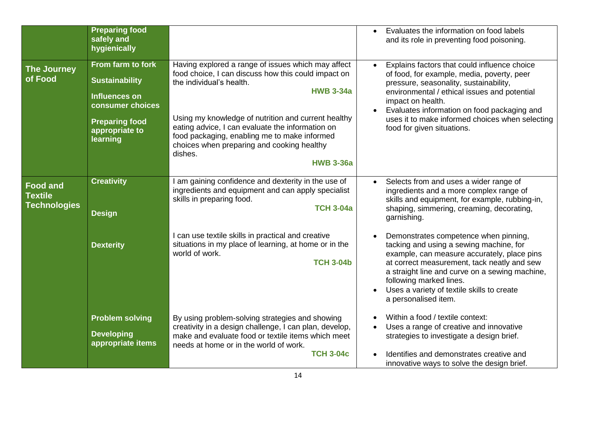|                                                          | <b>Preparing food</b><br>safely and<br>hygienically                                                                                           |                                                                                                                                                                                                                                                                                                                                                                                                   | Evaluates the information on food labels<br>$\bullet$<br>and its role in preventing food poisoning.                                                                                                                                                                                                                                       |
|----------------------------------------------------------|-----------------------------------------------------------------------------------------------------------------------------------------------|---------------------------------------------------------------------------------------------------------------------------------------------------------------------------------------------------------------------------------------------------------------------------------------------------------------------------------------------------------------------------------------------------|-------------------------------------------------------------------------------------------------------------------------------------------------------------------------------------------------------------------------------------------------------------------------------------------------------------------------------------------|
| <b>The Journey</b><br>of Food                            | From farm to fork<br><b>Sustainability</b><br><b>Influences on</b><br>consumer choices<br><b>Preparing food</b><br>appropriate to<br>learning | Having explored a range of issues which may affect<br>food choice, I can discuss how this could impact on<br>the individual's health.<br><b>HWB 3-34a</b><br>Using my knowledge of nutrition and current healthy<br>eating advice, I can evaluate the information on<br>food packaging, enabling me to make informed<br>choices when preparing and cooking healthy<br>dishes.<br><b>HWB 3-36a</b> | Explains factors that could influence choice<br>of food, for example, media, poverty, peer<br>pressure, seasonality, sustainability,<br>environmental / ethical issues and potential<br>impact on health.<br>Evaluates information on food packaging and<br>uses it to make informed choices when selecting<br>food for given situations. |
| <b>Food and</b><br><b>Textile</b><br><b>Technologies</b> | <b>Creativity</b><br><b>Design</b>                                                                                                            | I am gaining confidence and dexterity in the use of<br>ingredients and equipment and can apply specialist<br>skills in preparing food.<br><b>TCH 3-04a</b>                                                                                                                                                                                                                                        | Selects from and uses a wider range of<br>$\bullet$<br>ingredients and a more complex range of<br>skills and equipment, for example, rubbing-in,<br>shaping, simmering, creaming, decorating,<br>garnishing.                                                                                                                              |
|                                                          | <b>Dexterity</b>                                                                                                                              | I can use textile skills in practical and creative<br>situations in my place of learning, at home or in the<br>world of work.<br><b>TCH 3-04b</b>                                                                                                                                                                                                                                                 | Demonstrates competence when pinning,<br>tacking and using a sewing machine, for<br>example, can measure accurately, place pins<br>at correct measurement, tack neatly and sew<br>a straight line and curve on a sewing machine,<br>following marked lines.<br>Uses a variety of textile skills to create<br>a personalised item.         |
|                                                          | <b>Problem solving</b><br><b>Developing</b><br>appropriate items                                                                              | By using problem-solving strategies and showing<br>creativity in a design challenge, I can plan, develop,<br>make and evaluate food or textile items which meet<br>needs at home or in the world of work.<br><b>TCH 3-04c</b>                                                                                                                                                                     | Within a food / textile context:<br>Uses a range of creative and innovative<br>strategies to investigate a design brief.<br>Identifies and demonstrates creative and<br>innovative ways to solve the design brief.                                                                                                                        |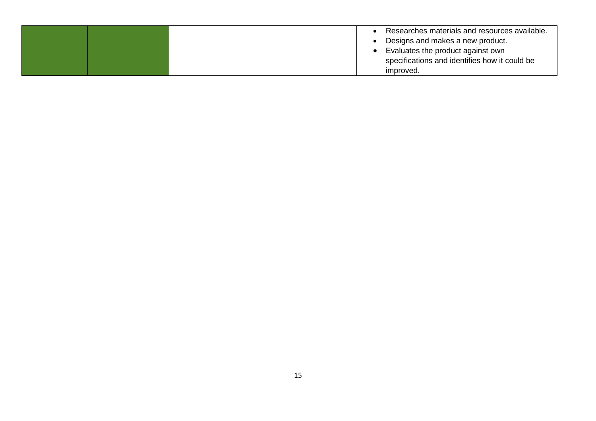|  | Researches materials and resources available. |
|--|-----------------------------------------------|
|  | Designs and makes a new product.              |
|  | Evaluates the product against own             |
|  | specifications and identifies how it could be |
|  | improved.                                     |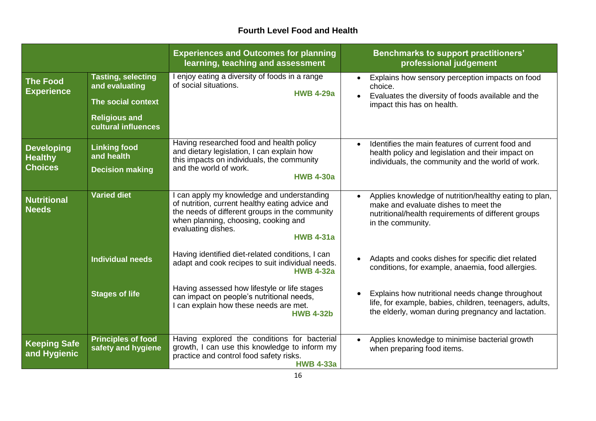## **Fourth Level Food and Health**

|                                                       |                                                                                                                  | <b>Experiences and Outcomes for planning</b><br>learning, teaching and assessment                                                                                                                                               | <b>Benchmarks to support practitioners'</b><br>professional judgement                                                                                                      |
|-------------------------------------------------------|------------------------------------------------------------------------------------------------------------------|---------------------------------------------------------------------------------------------------------------------------------------------------------------------------------------------------------------------------------|----------------------------------------------------------------------------------------------------------------------------------------------------------------------------|
| <b>The Food</b><br><b>Experience</b>                  | <b>Tasting, selecting</b><br>and evaluating<br>The social context<br><b>Religious and</b><br>cultural influences | I enjoy eating a diversity of foods in a range<br>of social situations.<br><b>HWB 4-29a</b>                                                                                                                                     | Explains how sensory perception impacts on food<br>$\bullet$<br>choice.<br>Evaluates the diversity of foods available and the<br>impact this has on health.                |
| <b>Developing</b><br><b>Healthy</b><br><b>Choices</b> | <b>Linking food</b><br>and health<br><b>Decision making</b>                                                      | Having researched food and health policy<br>and dietary legislation, I can explain how<br>this impacts on individuals, the community<br>and the world of work.<br><b>HWB 4-30a</b>                                              | Identifies the main features of current food and<br>health policy and legislation and their impact on<br>individuals, the community and the world of work.                 |
| <b>Nutritional</b><br><b>Needs</b>                    | <b>Varied diet</b>                                                                                               | can apply my knowledge and understanding<br>of nutrition, current healthy eating advice and<br>the needs of different groups in the community<br>when planning, choosing, cooking and<br>evaluating dishes.<br><b>HWB 4-31a</b> | Applies knowledge of nutrition/healthy eating to plan,<br>make and evaluate dishes to meet the<br>nutritional/health requirements of different groups<br>in the community. |
|                                                       | <b>Individual needs</b>                                                                                          | Having identified diet-related conditions, I can<br>adapt and cook recipes to suit individual needs.<br><b>HWB 4-32a</b>                                                                                                        | Adapts and cooks dishes for specific diet related<br>conditions, for example, anaemia, food allergies.                                                                     |
|                                                       | <b>Stages of life</b>                                                                                            | Having assessed how lifestyle or life stages<br>can impact on people's nutritional needs,<br>I can explain how these needs are met.<br><b>HWB 4-32b</b>                                                                         | Explains how nutritional needs change throughout<br>life, for example, babies, children, teenagers, adults,<br>the elderly, woman during pregnancy and lactation.          |
| <b>Keeping Safe</b><br>and Hygienic                   | <b>Principles of food</b><br>safety and hygiene                                                                  | Having explored the conditions for bacterial<br>growth, I can use this knowledge to inform my<br>practice and control food safety risks.<br><b>HWB 4-33a</b>                                                                    | Applies knowledge to minimise bacterial growth<br>$\bullet$<br>when preparing food items.                                                                                  |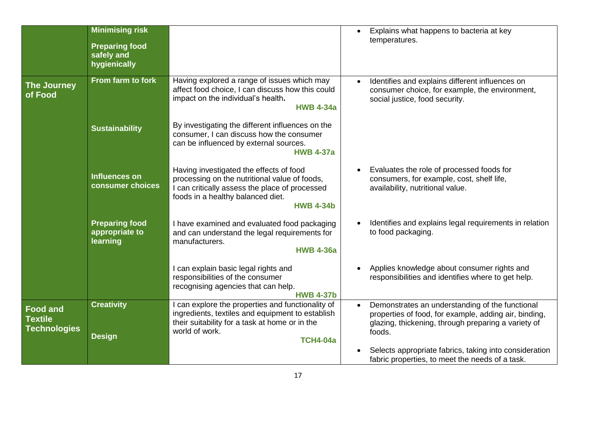|                                                          | <b>Minimising risk</b><br><b>Preparing food</b><br>safely and<br>hygienically |                                                                                                                                                                                                     | Explains what happens to bacteria at key<br>$\bullet$<br>temperatures.                                                                                                                 |
|----------------------------------------------------------|-------------------------------------------------------------------------------|-----------------------------------------------------------------------------------------------------------------------------------------------------------------------------------------------------|----------------------------------------------------------------------------------------------------------------------------------------------------------------------------------------|
| <b>The Journey</b><br>of Food                            | From farm to fork                                                             | Having explored a range of issues which may<br>affect food choice, I can discuss how this could<br>impact on the individual's health.<br><b>HWB 4-34a</b>                                           | Identifies and explains different influences on<br>consumer choice, for example, the environment,<br>social justice, food security.                                                    |
|                                                          | <b>Sustainability</b>                                                         | By investigating the different influences on the<br>consumer, I can discuss how the consumer<br>can be influenced by external sources.<br><b>HWB 4-37a</b>                                          |                                                                                                                                                                                        |
|                                                          | <b>Influences on</b><br>consumer choices                                      | Having investigated the effects of food<br>processing on the nutritional value of foods,<br>I can critically assess the place of processed<br>foods in a healthy balanced diet.<br><b>HWB 4-34b</b> | Evaluates the role of processed foods for<br>consumers, for example, cost, shelf life,<br>availability, nutritional value.                                                             |
|                                                          | <b>Preparing food</b><br>appropriate to<br>learning                           | I have examined and evaluated food packaging<br>and can understand the legal requirements for<br>manufacturers.<br><b>HWB 4-36a</b>                                                                 | Identifies and explains legal requirements in relation<br>to food packaging.                                                                                                           |
|                                                          |                                                                               | I can explain basic legal rights and<br>responsibilities of the consumer<br>recognising agencies that can help.<br><b>HWB 4-37b</b>                                                                 | Applies knowledge about consumer rights and<br>responsibilities and identifies where to get help.                                                                                      |
| <b>Food and</b><br><b>Textile</b><br><b>Technologies</b> | <b>Creativity</b><br><b>Design</b>                                            | I can explore the properties and functionality of<br>ingredients, textiles and equipment to establish<br>their suitability for a task at home or in the<br>world of work.<br><b>TCH4-04a</b>        | Demonstrates an understanding of the functional<br>$\bullet$<br>properties of food, for example, adding air, binding,<br>glazing, thickening, through preparing a variety of<br>foods. |
|                                                          |                                                                               |                                                                                                                                                                                                     | Selects appropriate fabrics, taking into consideration<br>fabric properties, to meet the needs of a task.                                                                              |